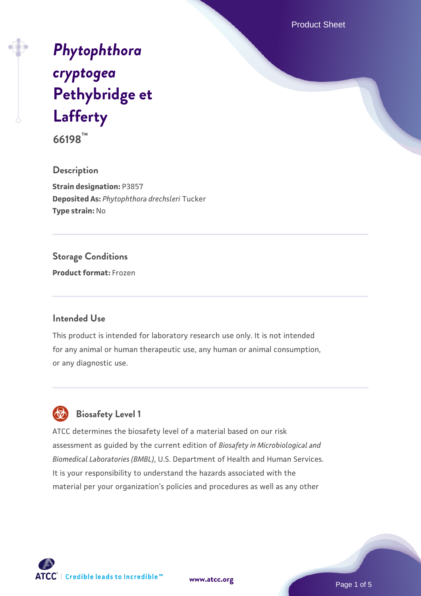Product Sheet

# *[Phytophthora](https://www.atcc.org/products/66198) [cryptogea](https://www.atcc.org/products/66198)* **[Pethybridge et](https://www.atcc.org/products/66198) [Lafferty](https://www.atcc.org/products/66198)**

**66198™**

**Description Strain designation:** P3857 **Deposited As:** *Phytophthora drechsleri* Tucker **Type strain:** No

# **Storage Conditions**

**Product format:** Frozen

#### **Intended Use**

This product is intended for laboratory research use only. It is not intended for any animal or human therapeutic use, any human or animal consumption, or any diagnostic use.



ATCC determines the biosafety level of a material based on our risk assessment as guided by the current edition of *Biosafety in Microbiological and Biomedical Laboratories (BMBL)*, U.S. Department of Health and Human Services. It is your responsibility to understand the hazards associated with the material per your organization's policies and procedures as well as any other



**[www.atcc.org](http://www.atcc.org)**

Page 1 of 5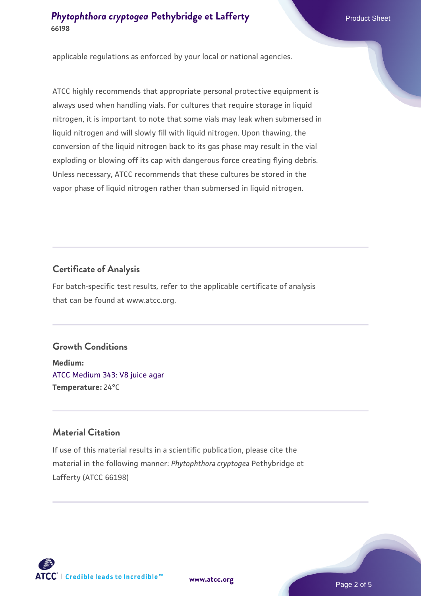## **[Phytophthora cryptogea](https://www.atcc.org/products/66198)** [Pethybridge et Lafferty](https://www.atcc.org/products/66198) Product Sheet **66198**

applicable regulations as enforced by your local or national agencies.

ATCC highly recommends that appropriate personal protective equipment is always used when handling vials. For cultures that require storage in liquid nitrogen, it is important to note that some vials may leak when submersed in liquid nitrogen and will slowly fill with liquid nitrogen. Upon thawing, the conversion of the liquid nitrogen back to its gas phase may result in the vial exploding or blowing off its cap with dangerous force creating flying debris. Unless necessary, ATCC recommends that these cultures be stored in the vapor phase of liquid nitrogen rather than submersed in liquid nitrogen.

# **Certificate of Analysis**

For batch-specific test results, refer to the applicable certificate of analysis that can be found at www.atcc.org.

# **Growth Conditions**

**Medium:**  [ATCC Medium 343: V8 juice agar](https://www.atcc.org/-/media/product-assets/documents/microbial-media-formulations/3/4/3/atcc-medium-0343.pdf?rev=fbf48fa24e664932828269db1822ab12) **Temperature:** 24°C

# **Material Citation**

If use of this material results in a scientific publication, please cite the material in the following manner: *Phytophthora cryptogea* Pethybridge et Lafferty (ATCC 66198)



**[www.atcc.org](http://www.atcc.org)**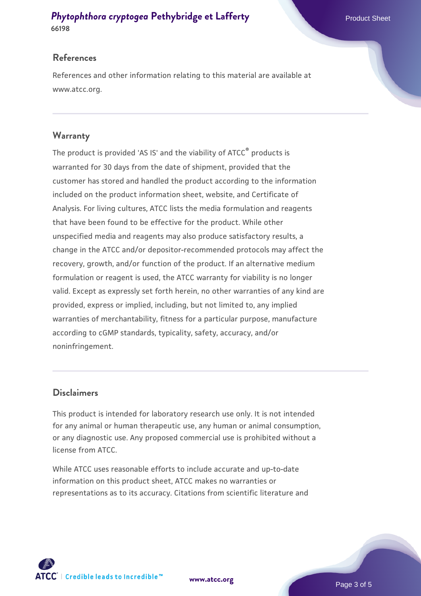#### **[Phytophthora cryptogea](https://www.atcc.org/products/66198)** [Pethybridge et Lafferty](https://www.atcc.org/products/66198) Product Sheet **66198**

#### **References**

References and other information relating to this material are available at www.atcc.org.

## **Warranty**

The product is provided 'AS IS' and the viability of ATCC® products is warranted for 30 days from the date of shipment, provided that the customer has stored and handled the product according to the information included on the product information sheet, website, and Certificate of Analysis. For living cultures, ATCC lists the media formulation and reagents that have been found to be effective for the product. While other unspecified media and reagents may also produce satisfactory results, a change in the ATCC and/or depositor-recommended protocols may affect the recovery, growth, and/or function of the product. If an alternative medium formulation or reagent is used, the ATCC warranty for viability is no longer valid. Except as expressly set forth herein, no other warranties of any kind are provided, express or implied, including, but not limited to, any implied warranties of merchantability, fitness for a particular purpose, manufacture according to cGMP standards, typicality, safety, accuracy, and/or noninfringement.

#### **Disclaimers**

This product is intended for laboratory research use only. It is not intended for any animal or human therapeutic use, any human or animal consumption, or any diagnostic use. Any proposed commercial use is prohibited without a license from ATCC.

While ATCC uses reasonable efforts to include accurate and up-to-date information on this product sheet, ATCC makes no warranties or representations as to its accuracy. Citations from scientific literature and



**[www.atcc.org](http://www.atcc.org)**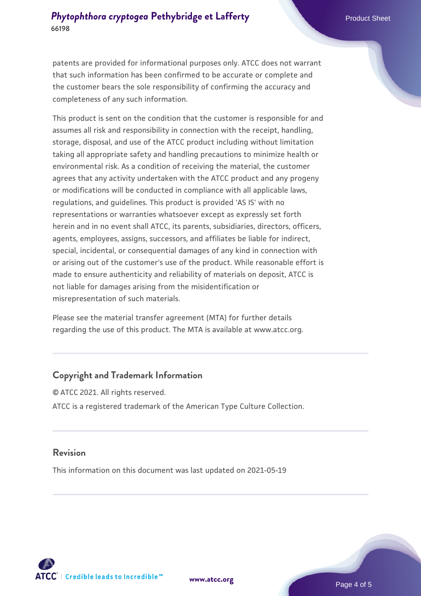#### **[Phytophthora cryptogea](https://www.atcc.org/products/66198)** [Pethybridge et Lafferty](https://www.atcc.org/products/66198) Product Sheet **66198**

patents are provided for informational purposes only. ATCC does not warrant that such information has been confirmed to be accurate or complete and the customer bears the sole responsibility of confirming the accuracy and completeness of any such information.

This product is sent on the condition that the customer is responsible for and assumes all risk and responsibility in connection with the receipt, handling, storage, disposal, and use of the ATCC product including without limitation taking all appropriate safety and handling precautions to minimize health or environmental risk. As a condition of receiving the material, the customer agrees that any activity undertaken with the ATCC product and any progeny or modifications will be conducted in compliance with all applicable laws, regulations, and guidelines. This product is provided 'AS IS' with no representations or warranties whatsoever except as expressly set forth herein and in no event shall ATCC, its parents, subsidiaries, directors, officers, agents, employees, assigns, successors, and affiliates be liable for indirect, special, incidental, or consequential damages of any kind in connection with or arising out of the customer's use of the product. While reasonable effort is made to ensure authenticity and reliability of materials on deposit, ATCC is not liable for damages arising from the misidentification or misrepresentation of such materials.

Please see the material transfer agreement (MTA) for further details regarding the use of this product. The MTA is available at www.atcc.org.

#### **Copyright and Trademark Information**

© ATCC 2021. All rights reserved. ATCC is a registered trademark of the American Type Culture Collection.

#### **Revision**

This information on this document was last updated on 2021-05-19



**[www.atcc.org](http://www.atcc.org)**

Page 4 of 5